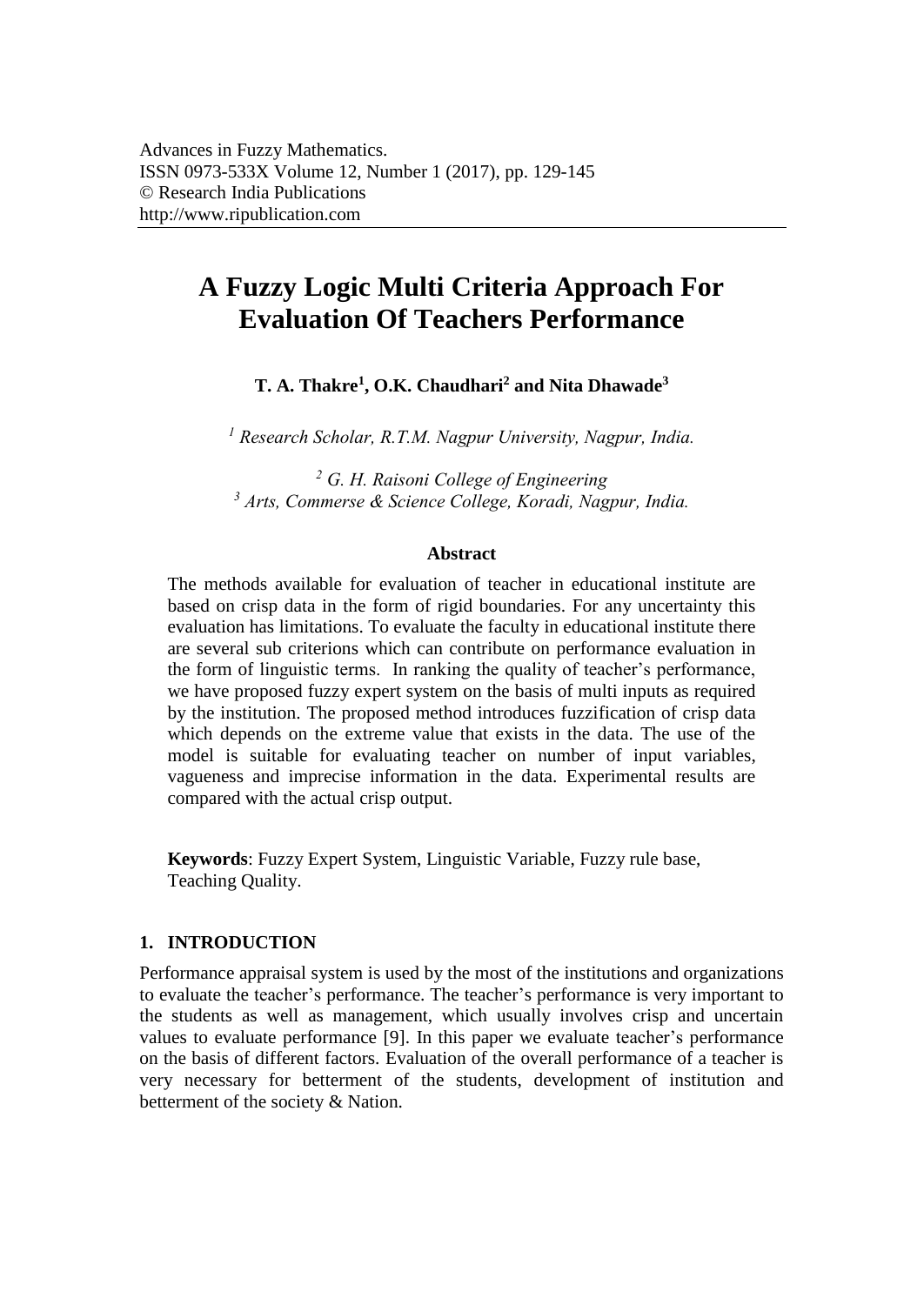# **A Fuzzy Logic Multi Criteria Approach For Evaluation Of Teachers Performance**

**T. A. Thakre<sup>1</sup> , O.K. Chaudhari<sup>2</sup> and Nita Dhawade<sup>3</sup>**

*<sup>1</sup> Research Scholar, R.T.M. Nagpur University, Nagpur, India.* 

*<sup>2</sup> G. H. Raisoni College of Engineering <sup>3</sup> Arts, Commerse & Science College, Koradi, Nagpur, India.* 

#### **Abstract**

The methods available for evaluation of teacher in educational institute are based on crisp data in the form of rigid boundaries. For any uncertainty this evaluation has limitations. To evaluate the faculty in educational institute there are several sub criterions which can contribute on performance evaluation in the form of linguistic terms. In ranking the quality of teacher's performance, we have proposed fuzzy expert system on the basis of multi inputs as required by the institution. The proposed method introduces fuzzification of crisp data which depends on the extreme value that exists in the data. The use of the model is suitable for evaluating teacher on number of input variables, vagueness and imprecise information in the data. Experimental results are compared with the actual crisp output.

**Keywords**: Fuzzy Expert System, Linguistic Variable, Fuzzy rule base, Teaching Quality.

# **1. INTRODUCTION**

Performance appraisal system is used by the most of the institutions and organizations to evaluate the teacher's performance. The teacher's performance is very important to the students as well as management, which usually involves crisp and uncertain values to evaluate performance [9]. In this paper we evaluate teacher's performance on the basis of different factors. Evaluation of the overall performance of a teacher is very necessary for betterment of the students, development of institution and betterment of the society & Nation.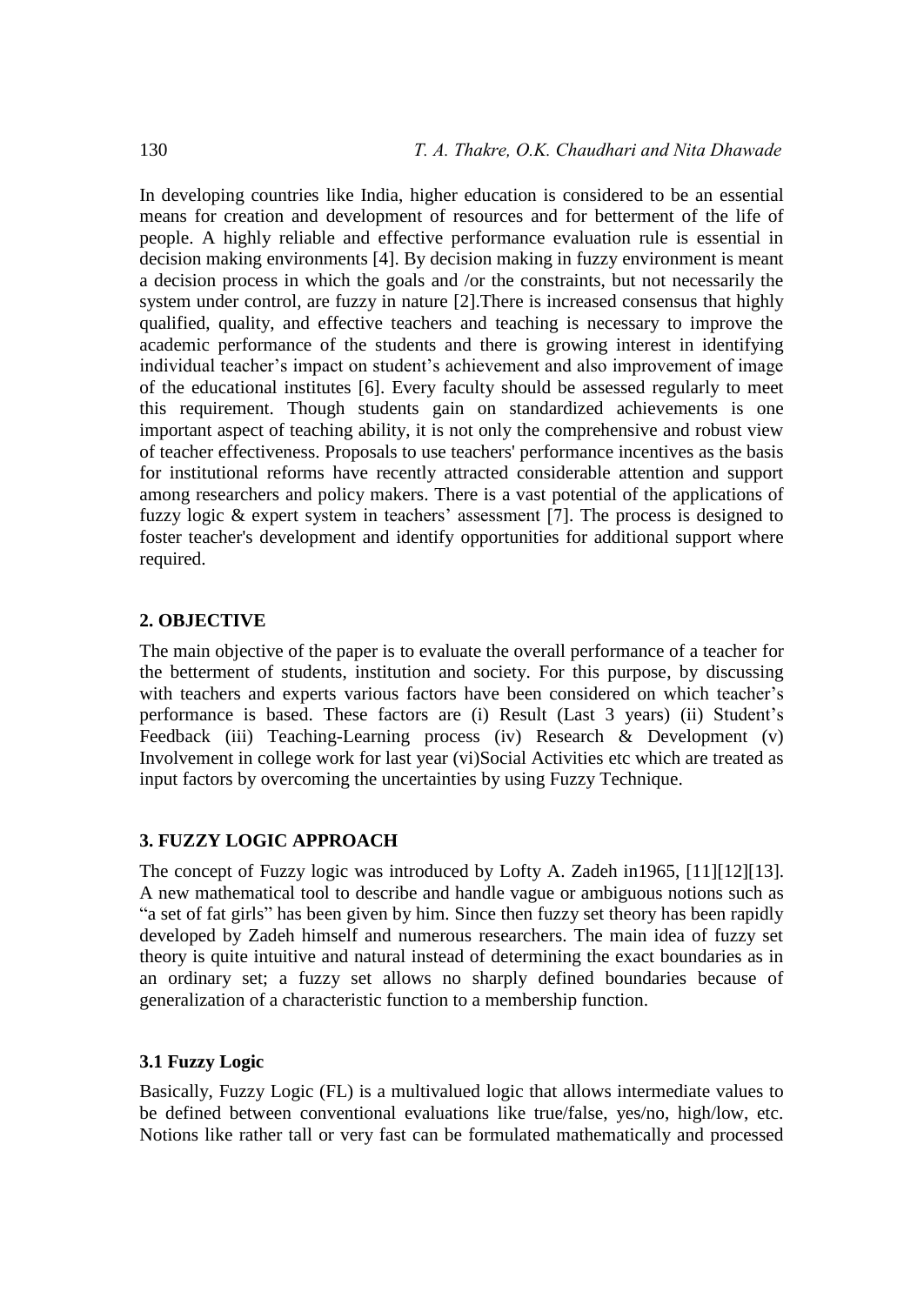In developing countries like India, higher education is considered to be an essential means for creation and development of resources and for betterment of the life of people. A highly reliable and effective performance evaluation rule is essential in decision making environments [4]. By decision making in fuzzy environment is meant a decision process in which the goals and /or the constraints, but not necessarily the system under control, are fuzzy in nature [2].There is increased consensus that highly qualified, quality, and effective teachers and teaching is necessary to improve the academic performance of the students and there is growing interest in identifying individual teacher's impact on student's achievement and also improvement of image of the educational institutes [6]. Every faculty should be assessed regularly to meet this requirement. Though students gain on standardized achievements is one important aspect of teaching ability, it is not only the comprehensive and robust view of teacher effectiveness. Proposals to use teachers' performance incentives as the basis for institutional reforms have recently attracted considerable attention and support among researchers and policy makers. There is a vast potential of the applications of fuzzy logic & expert system in teachers' assessment [7]. The process is designed to foster teacher's development and identify opportunities for additional support where required.

# **2. OBJECTIVE**

The main objective of the paper is to evaluate the overall performance of a teacher for the betterment of students, institution and society. For this purpose, by discussing with teachers and experts various factors have been considered on which teacher's performance is based. These factors are (i) Result (Last 3 years) (ii) Student's Feedback (iii) Teaching-Learning process (iv) Research & Development (v) Involvement in college work for last year (vi)Social Activities etc which are treated as input factors by overcoming the uncertainties by using Fuzzy Technique.

# **3. FUZZY LOGIC APPROACH**

The concept of Fuzzy logic was introduced by Lofty A. Zadeh in1965, [11][12][13]. A new mathematical tool to describe and handle vague or ambiguous notions such as "a set of fat girls" has been given by him. Since then fuzzy set theory has been rapidly developed by Zadeh himself and numerous researchers. The main idea of fuzzy set theory is quite intuitive and natural instead of determining the exact boundaries as in an ordinary set; a fuzzy set allows no sharply defined boundaries because of generalization of a characteristic function to a membership function.

# **3.1 Fuzzy Logic**

Basically, Fuzzy Logic (FL) is a multivalued logic that allows intermediate values to be defined between conventional evaluations like true/false, yes/no, high/low, etc. Notions like rather tall or very fast can be formulated mathematically and processed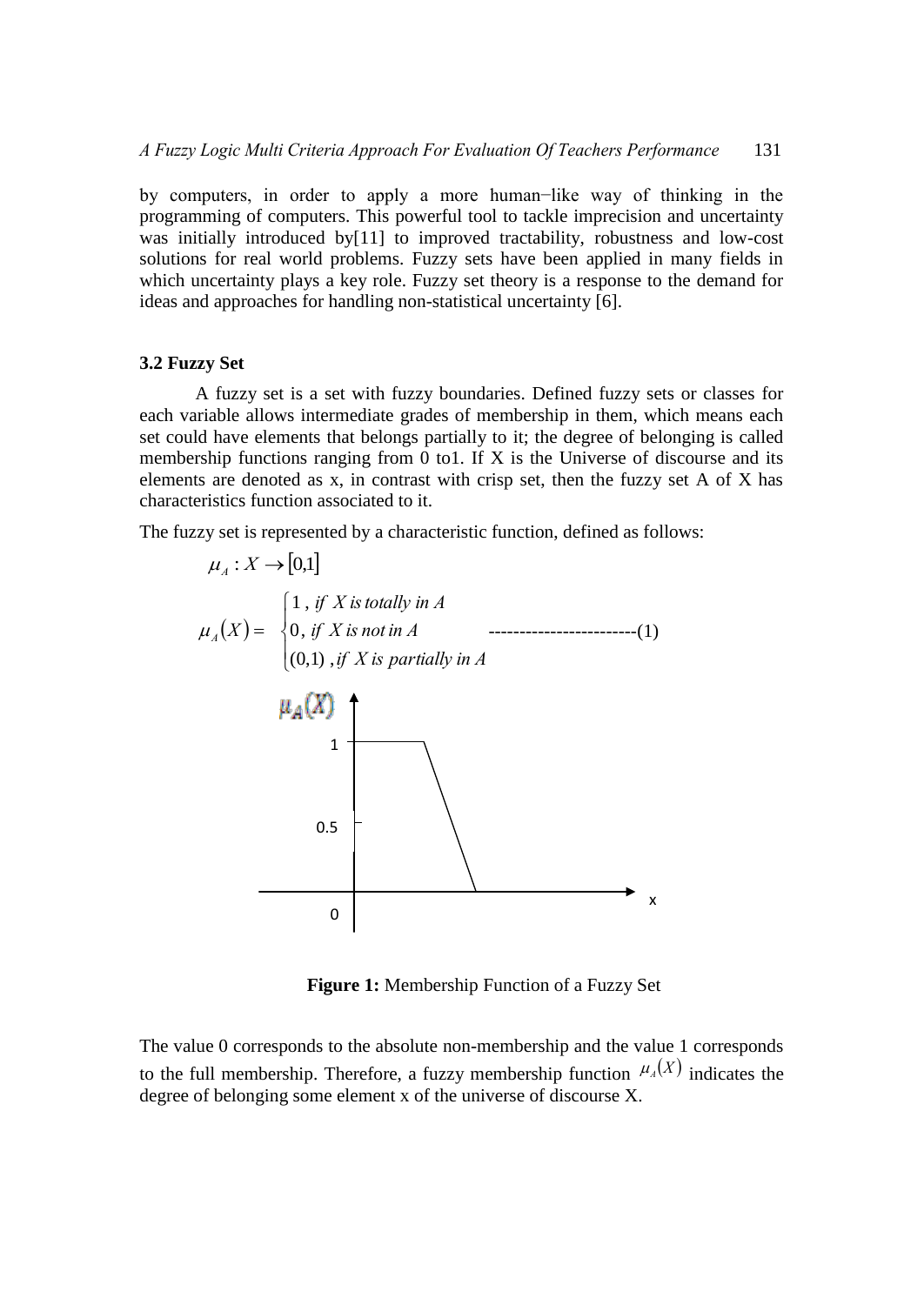by computers, in order to apply a more human−like way of thinking in the programming of computers. This powerful tool to tackle imprecision and uncertainty was initially introduced by<sup>[11]</sup> to improved tractability, robustness and low-cost solutions for real world problems. Fuzzy sets have been applied in many fields in which uncertainty plays a key role. Fuzzy set theory is a response to the demand for ideas and approaches for handling non-statistical uncertainty [6].

#### **3.2 Fuzzy Set**

A fuzzy set is a set with fuzzy boundaries. Defined fuzzy sets or classes for each variable allows intermediate grades of membership in them, which means each set could have elements that belongs partially to it; the degree of belonging is called membership functions ranging from 0 to1. If X is the Universe of discourse and its elements are denoted as x, in contrast with crisp set, then the fuzzy set A of X has characteristics function associated to it.

The fuzzy set is represented by a characteristic function, defined as follows:



**Figure 1:** Membership Function of a Fuzzy Set

The value 0 corresponds to the absolute non-membership and the value 1 corresponds to the full membership. Therefore, a fuzzy membership function  $\mu_A(X)$  indicates the degree of belonging some element x of the universe of discourse X.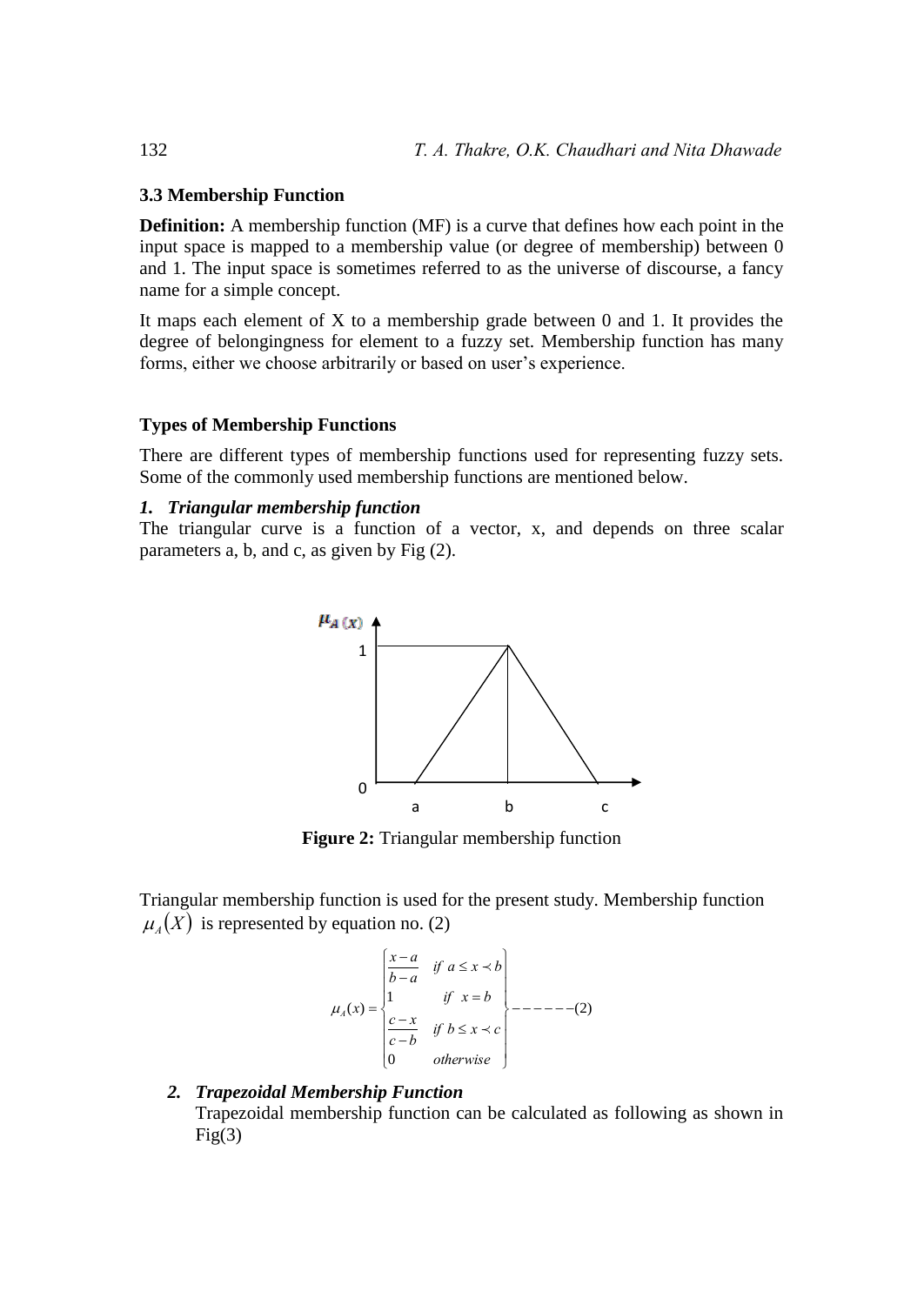#### **3.3 Membership Function**

**Definition:** A membership function (MF) is a curve that defines how each point in the input space is mapped to a membership value (or degree of membership) between 0 and 1. The input space is sometimes referred to as the universe of discourse, a fancy name for a simple concept.

It maps each element of X to a membership grade between 0 and 1. It provides the degree of belongingness for element to a fuzzy set. Membership function has many forms, either we choose arbitrarily or based on user's experience.

#### **Types of Membership Functions**

There are different types of membership functions used for representing fuzzy sets. Some of the commonly used membership functions are mentioned below.

#### *1. Triangular membership function*

The triangular curve is a function of a vector, x, and depends on three scalar parameters a, b, and c, as given by Fig (2).



**Figure 2:** Triangular membership function

Triangular membership function is used for the present study. Membership function  $\mu_A(X)$  is represented by equation no. (2)

$$
\mu_A(x) = \begin{cases}\n\frac{x-a}{b-a} & \text{if } a \le x \prec b \\
1 & \text{if } x = b \\
\frac{c-x}{c-b} & \text{if } b \le x \prec c \\
0 & \text{otherwise}\n\end{cases} \qquad \text{---} \qquad (2)
$$

# *2. Trapezoidal Membership Function*  Trapezoidal membership function can be calculated as following as shown in  $Fig(3)$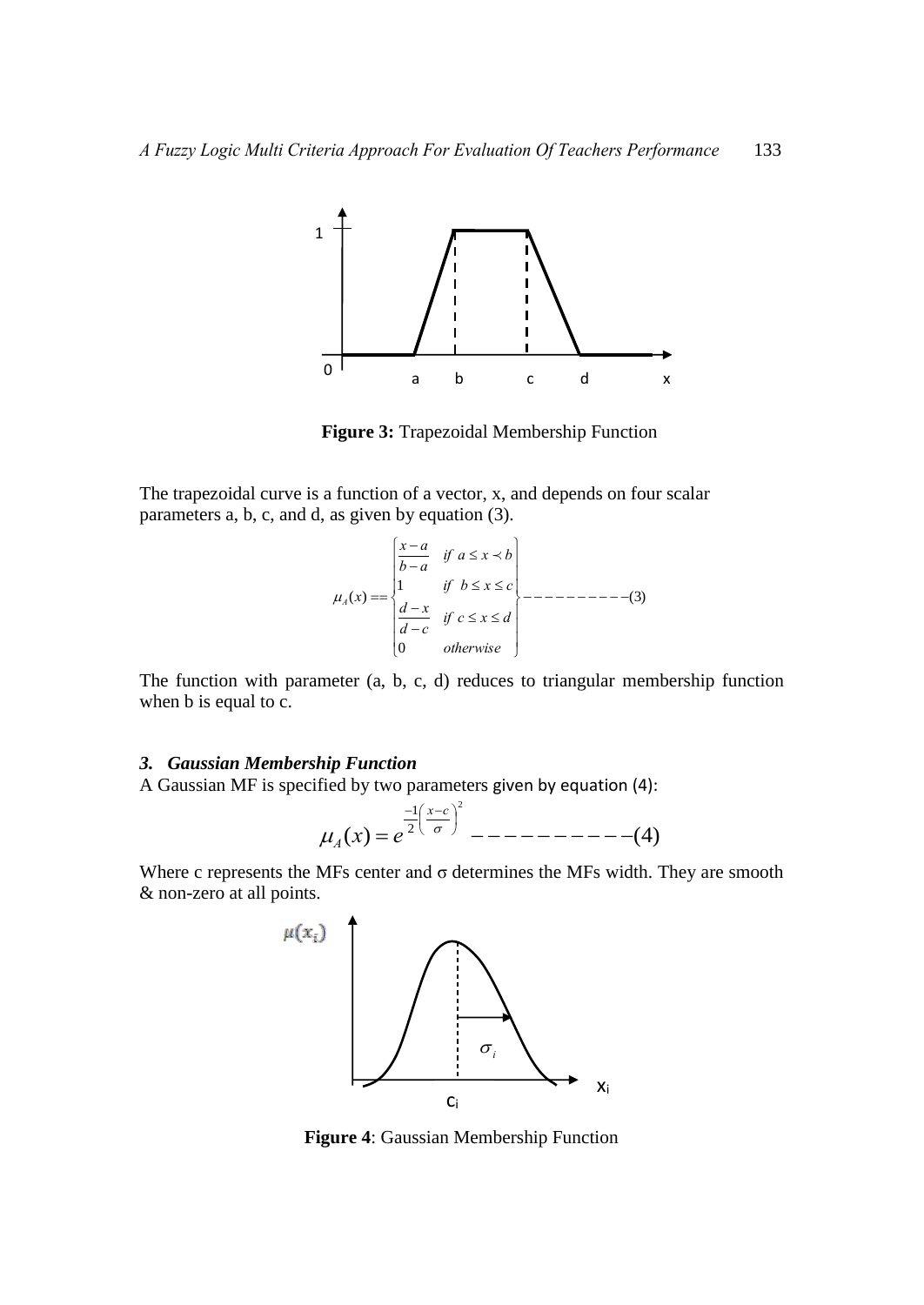

**Figure 3:** Trapezoidal Membership Function

The trapezoidal curve is a function of a vector, x, and depends on four scalar parameters a, b, c, and d, as given by equation (3).

$$
\mu_A(x) = \begin{cases}\n\frac{x-a}{b-a} & \text{if } a \le x \le b \\
1 & \text{if } b \le x \le c \\
\frac{d-x}{d-c} & \text{if } c \le x \le d \\
0 & \text{otherwise}\n\end{cases} \longrightarrow - \text{---} \text{---} \text{---} \tag{3}
$$

The function with parameter (a, b, c, d) reduces to triangular membership function when **b** is equal to **c**.

### *3. Gaussian Membership Function*

A Gaussian MF is specified by two parameters given by equation (4):

$$
\mu_A(x) = e^{\frac{-1}{2} \left( \frac{x-c}{\sigma} \right)^2} \quad - \quad - \quad - \quad - \quad - \quad - \quad - \quad (4)
$$

Where c represents the MFs center and  $\sigma$  determines the MFs width. They are smooth & non-zero at all points.



**Figure 4**: Gaussian Membership Function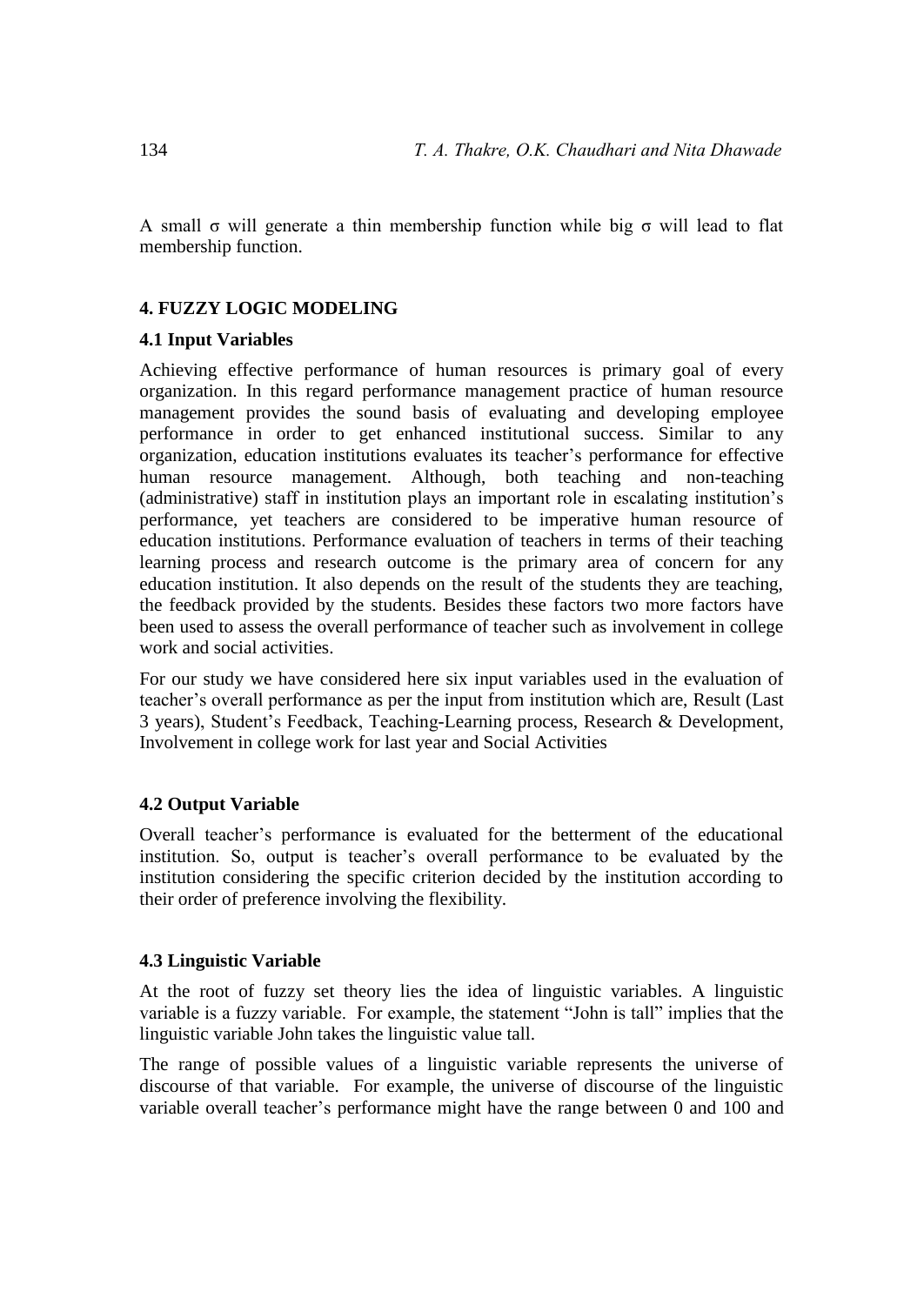A small σ will generate a thin membership function while big σ will lead to flat membership function.

# **4. FUZZY LOGIC MODELING**

# **4.1 Input Variables**

Achieving effective performance of human resources is primary goal of every organization. In this regard performance management practice of human resource management provides the sound basis of evaluating and developing employee performance in order to get enhanced institutional success. Similar to any organization, education institutions evaluates its teacher's performance for effective human resource management. Although, both teaching and non-teaching (administrative) staff in institution plays an important role in escalating institution's performance, yet teachers are considered to be imperative human resource of education institutions. Performance evaluation of teachers in terms of their teaching learning process and research outcome is the primary area of concern for any education institution. It also depends on the result of the students they are teaching, the feedback provided by the students. Besides these factors two more factors have been used to assess the overall performance of teacher such as involvement in college work and social activities.

For our study we have considered here six input variables used in the evaluation of teacher's overall performance as per the input from institution which are, Result (Last 3 years), Student's Feedback, Teaching-Learning process, Research & Development, Involvement in college work for last year and Social Activities

# **4.2 Output Variable**

Overall teacher's performance is evaluated for the betterment of the educational institution. So, output is teacher's overall performance to be evaluated by the institution considering the specific criterion decided by the institution according to their order of preference involving the flexibility.

# **4.3 Linguistic Variable**

At the root of fuzzy set theory lies the idea of linguistic variables. A linguistic variable is a fuzzy variable. For example, the statement "John is tall" implies that the linguistic variable John takes the linguistic value tall.

The range of possible values of a linguistic variable represents the universe of discourse of that variable. For example, the universe of discourse of the linguistic variable overall teacher's performance might have the range between 0 and 100 and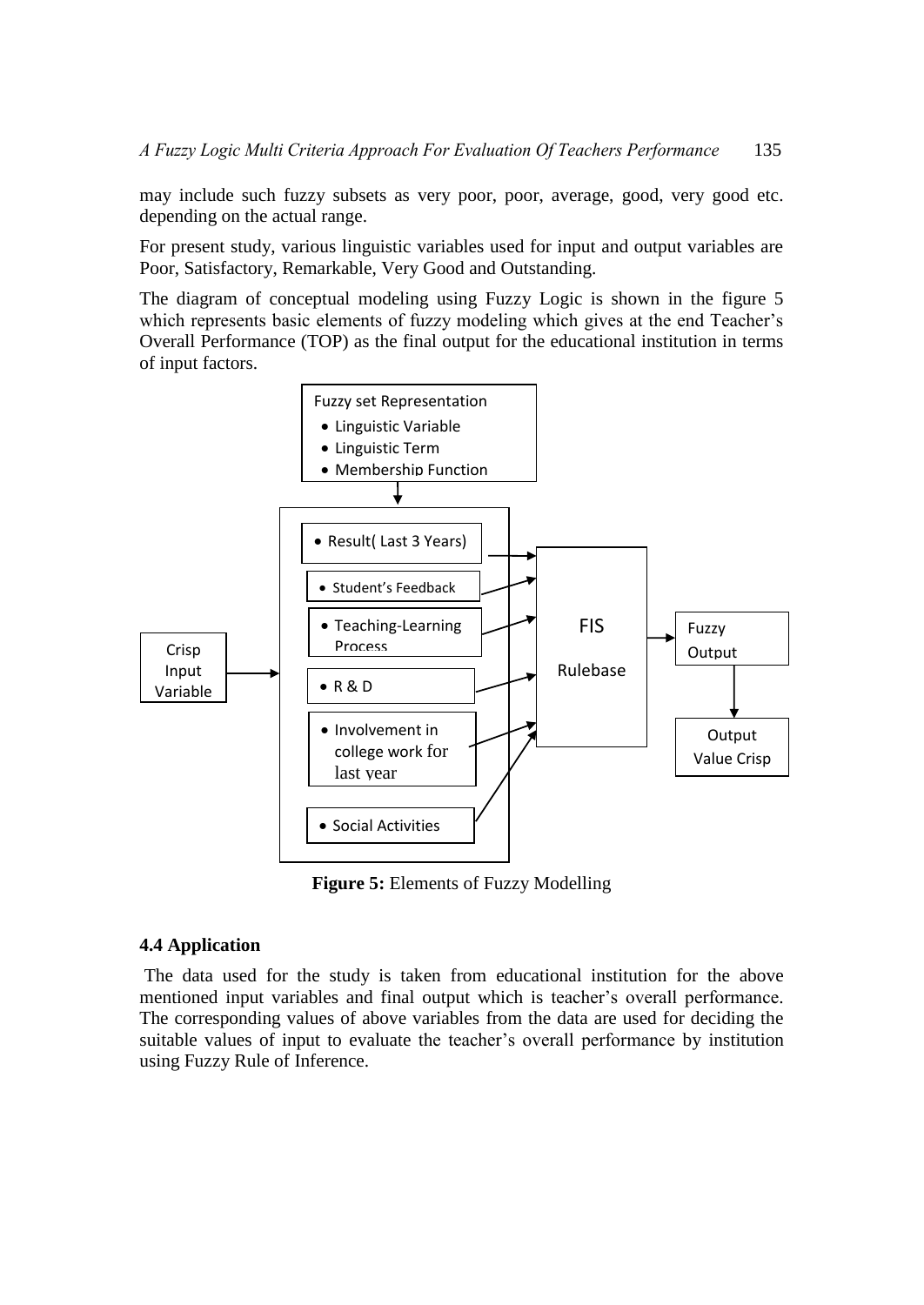may include such fuzzy subsets as very poor, poor, average, good, very good etc. depending on the actual range.

For present study, various linguistic variables used for input and output variables are Poor, Satisfactory, Remarkable, Very Good and Outstanding.

The diagram of conceptual modeling using Fuzzy Logic is shown in the figure 5 which represents basic elements of fuzzy modeling which gives at the end Teacher's Overall Performance (TOP) as the final output for the educational institution in terms of input factors.



**Figure 5:** Elements of Fuzzy Modelling

# **4.4 Application**

The data used for the study is taken from educational institution for the above mentioned input variables and final output which is teacher's overall performance. The corresponding values of above variables from the data are used for deciding the suitable values of input to evaluate the teacher's overall performance by institution using Fuzzy Rule of Inference.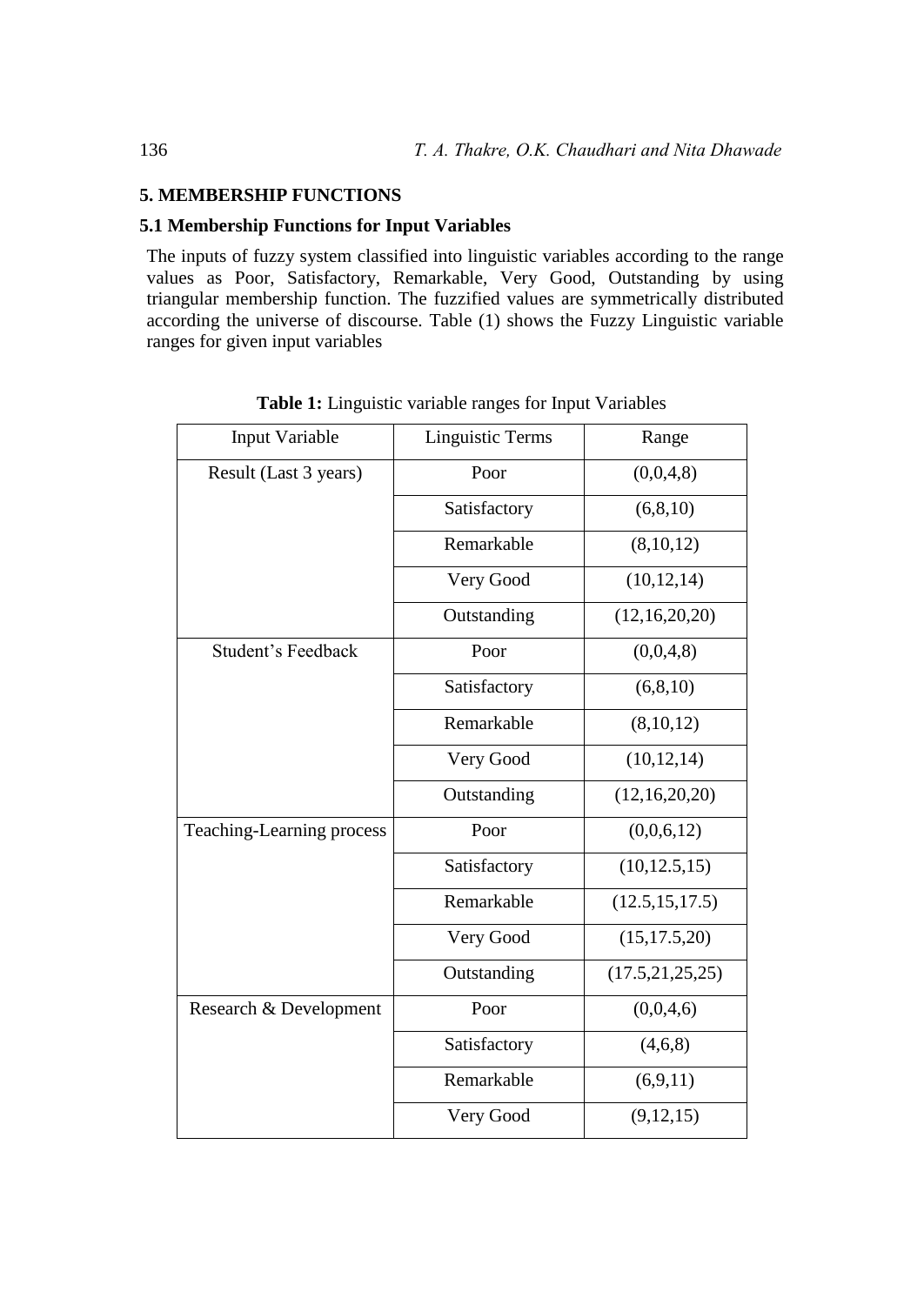# **5. MEMBERSHIP FUNCTIONS**

# **5.1 Membership Functions for Input Variables**

The inputs of fuzzy system classified into linguistic variables according to the range values as Poor, Satisfactory, Remarkable, Very Good, Outstanding by using triangular membership function. The fuzzified values are symmetrically distributed according the universe of discourse. Table (1) shows the Fuzzy Linguistic variable ranges for given input variables

| <b>Input Variable</b>     | <b>Linguistic Terms</b> | Range              |
|---------------------------|-------------------------|--------------------|
| Result (Last 3 years)     | Poor                    | (0,0,4,8)          |
|                           | Satisfactory            | (6, 8, 10)         |
|                           | Remarkable              | (8,10,12)          |
|                           | Very Good               | (10, 12, 14)       |
|                           | Outstanding             | (12,16,20,20)      |
| Student's Feedback        | Poor                    | (0,0,4,8)          |
|                           | Satisfactory            | (6, 8, 10)         |
|                           | Remarkable              | (8,10,12)          |
|                           | Very Good               | (10, 12, 14)       |
|                           | Outstanding             | (12, 16, 20, 20)   |
| Teaching-Learning process | Poor                    | (0,0,6,12)         |
|                           | Satisfactory            | (10, 12.5, 15)     |
|                           | Remarkable              | (12.5, 15, 17.5)   |
|                           | Very Good               | (15, 17.5, 20)     |
|                           | Outstanding             | (17.5, 21, 25, 25) |
| Research & Development    | Poor                    | (0,0,4,6)          |
|                           | Satisfactory            | (4,6,8)            |
|                           | Remarkable              | (6,9,11)           |
|                           | Very Good               | (9, 12, 15)        |

**Table 1:** Linguistic variable ranges for Input Variables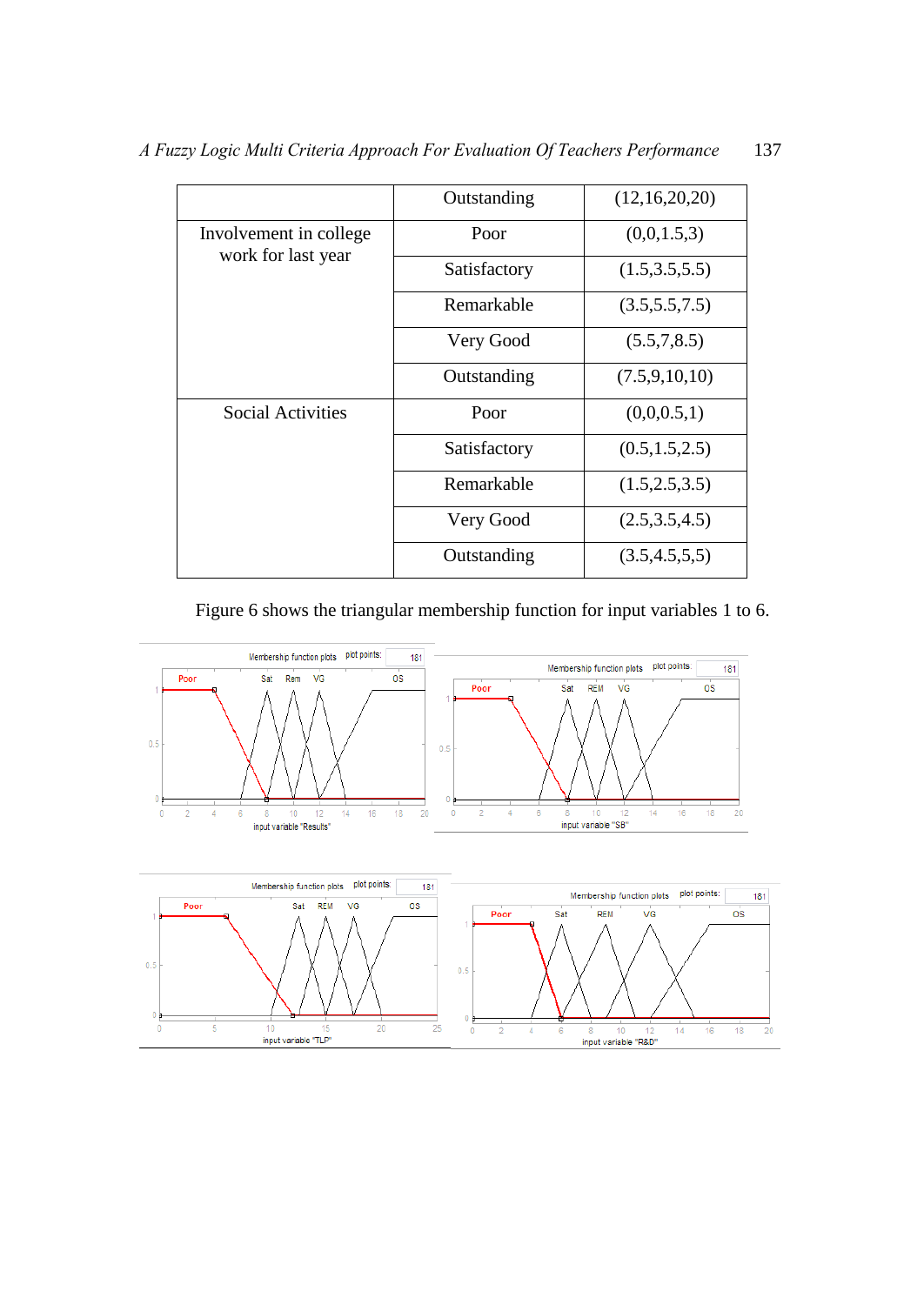|                                              | Outstanding  | (12,16,20,20)    |
|----------------------------------------------|--------------|------------------|
| Involvement in college<br>work for last year | Poor         | (0,0,1.5,3)      |
|                                              | Satisfactory | (1.5, 3.5, 5.5)  |
|                                              | Remarkable   | (3.5,5.5,7.5)    |
|                                              | Very Good    | (5.5, 7, 8.5)    |
|                                              | Outstanding  | (7.5, 9, 10, 10) |
| <b>Social Activities</b>                     | Poor         | (0,0,0.5,1)      |
|                                              | Satisfactory | (0.5, 1.5, 2.5)  |
|                                              | Remarkable   | (1.5, 2.5, 3.5)  |
|                                              | Very Good    | (2.5,3.5,4.5)    |
|                                              | Outstanding  | (3.5, 4.5, 5, 5) |

Figure 6 shows the triangular membership function for input variables 1 to 6.



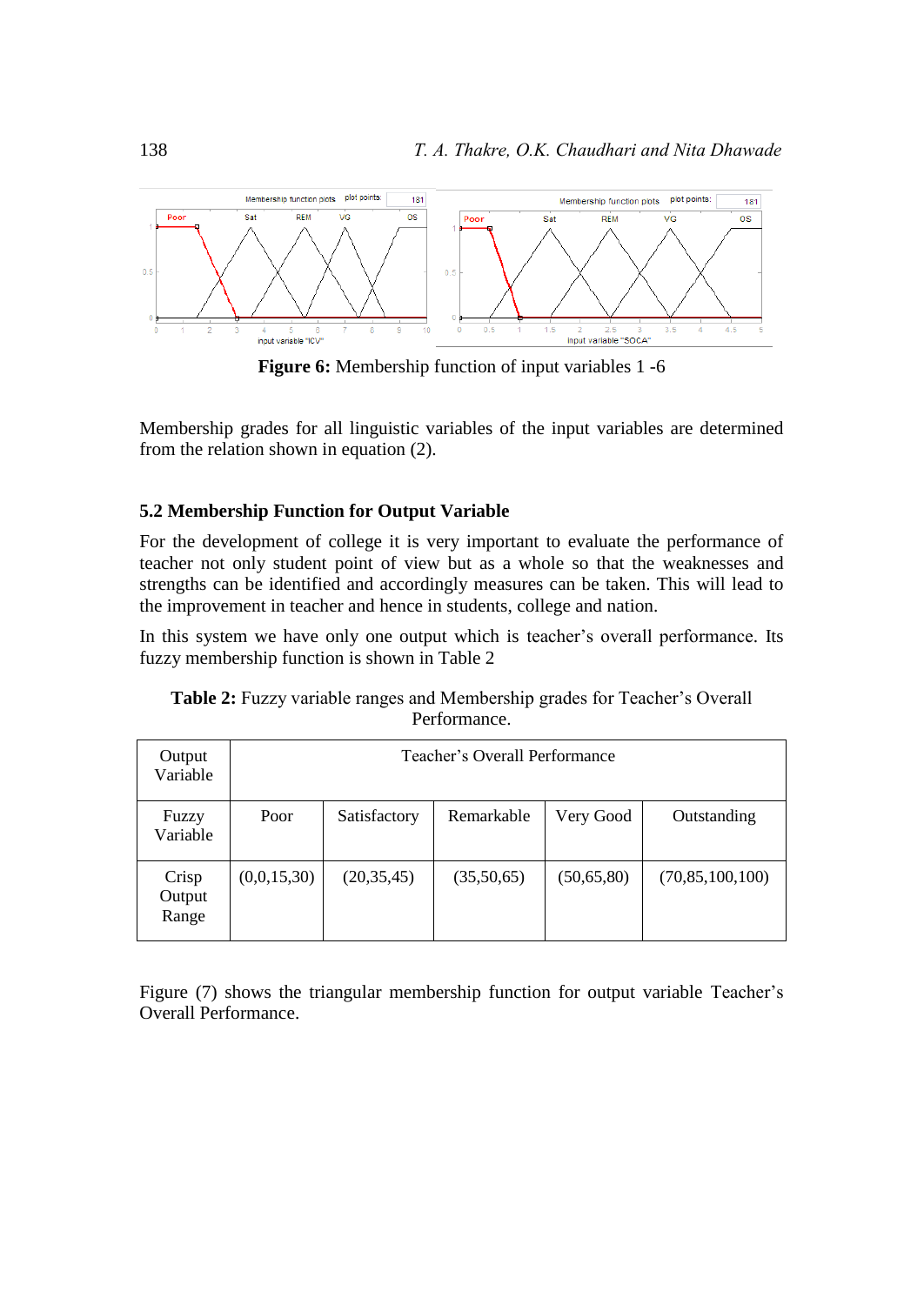

Figure 6: Membership function of input variables 1 -6

Membership grades for all linguistic variables of the input variables are determined from the relation shown in equation (2).

# **5.2 Membership Function for Output Variable**

For the development of college it is very important to evaluate the performance of teacher not only student point of view but as a whole so that the weaknesses and strengths can be identified and accordingly measures can be taken. This will lead to the improvement in teacher and hence in students, college and nation.

In this system we have only one output which is teacher's overall performance. Its fuzzy membership function is shown in Table 2

| Output<br>Variable       | Teacher's Overall Performance |              |            |              |                    |  |  |  |
|--------------------------|-------------------------------|--------------|------------|--------------|--------------------|--|--|--|
| Fuzzy<br>Variable        | Poor                          | Satisfactory | Remarkable | Very Good    | Outstanding        |  |  |  |
| Crisp<br>Output<br>Range | (0,0,15,30)                   | (20, 35, 45) | (35,50,65) | (50, 65, 80) | (70, 85, 100, 100) |  |  |  |

**Table 2:** Fuzzy variable ranges and Membership grades for Teacher's Overall Performance.

Figure (7) shows the triangular membership function for output variable Teacher's Overall Performance.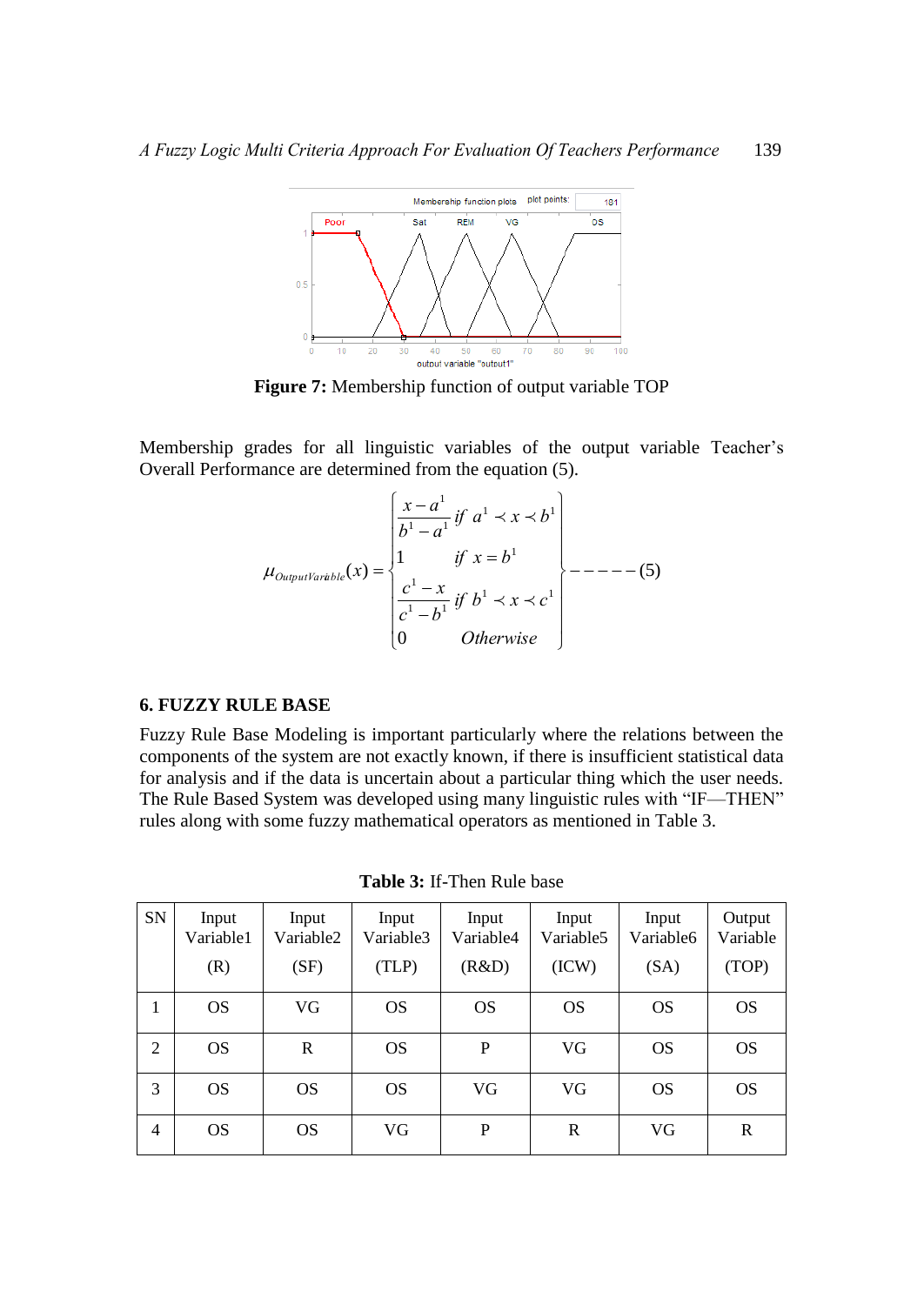

**Figure 7:** Membership function of output variable TOP

Membership grades for all linguistic variables of the output variable Teacher's Overall Performance are determined from the equation (5).

$$
\mu_{\text{OutputVariable}}(x) = \begin{cases}\n\frac{x - a^1}{b^1 - a^1} & \text{if } a^1 \prec x \prec b^1 \\
1 & \text{if } x = b^1 \\
\frac{c^1 - x}{c^1 - b^1} & \text{if } b^1 \prec x \prec c^1 \\
0 & \text{Otherwise}\n\end{cases} \n\begin{cases}\n- - - - - (5) \\
- - - - (5) \\
\frac{c^1 - x}{c^1 - b^1} & \text{otherwise}\n\end{cases}
$$

### **6. FUZZY RULE BASE**

Fuzzy Rule Base Modeling is important particularly where the relations between the components of the system are not exactly known, if there is insufficient statistical data for analysis and if the data is uncertain about a particular thing which the user needs. The Rule Based System was developed using many linguistic rules with "IF—THEN" rules along with some fuzzy mathematical operators as mentioned in Table 3.

| SN             | Input<br>Variable1<br>(R) | Input<br>Variable2<br>(SF) | Input<br>Variable3<br>(TLP) | Input<br>Variable4<br>(R&D) | Input<br>Variable <sub>5</sub><br>(ICW) | Input<br>Variable6<br>(SA) | Output<br>Variable<br>(TOP) |
|----------------|---------------------------|----------------------------|-----------------------------|-----------------------------|-----------------------------------------|----------------------------|-----------------------------|
|                |                           |                            |                             |                             |                                         |                            |                             |
| 1              | <b>OS</b>                 | VG                         | <b>OS</b>                   | <b>OS</b>                   | <b>OS</b>                               | <b>OS</b>                  | <b>OS</b>                   |
| $\overline{2}$ | <b>OS</b>                 | $\mathbf R$                | <b>OS</b>                   | P                           | VG                                      | <b>OS</b>                  | <b>OS</b>                   |
| 3              | <b>OS</b>                 | <b>OS</b>                  | <b>OS</b>                   | VG                          | VG                                      | <b>OS</b>                  | <b>OS</b>                   |
| 4              | <b>OS</b>                 | <b>OS</b>                  | VG                          | P                           | $\mathbf R$                             | VG                         | $\mathbf R$                 |

**Table 3:** If-Then Rule base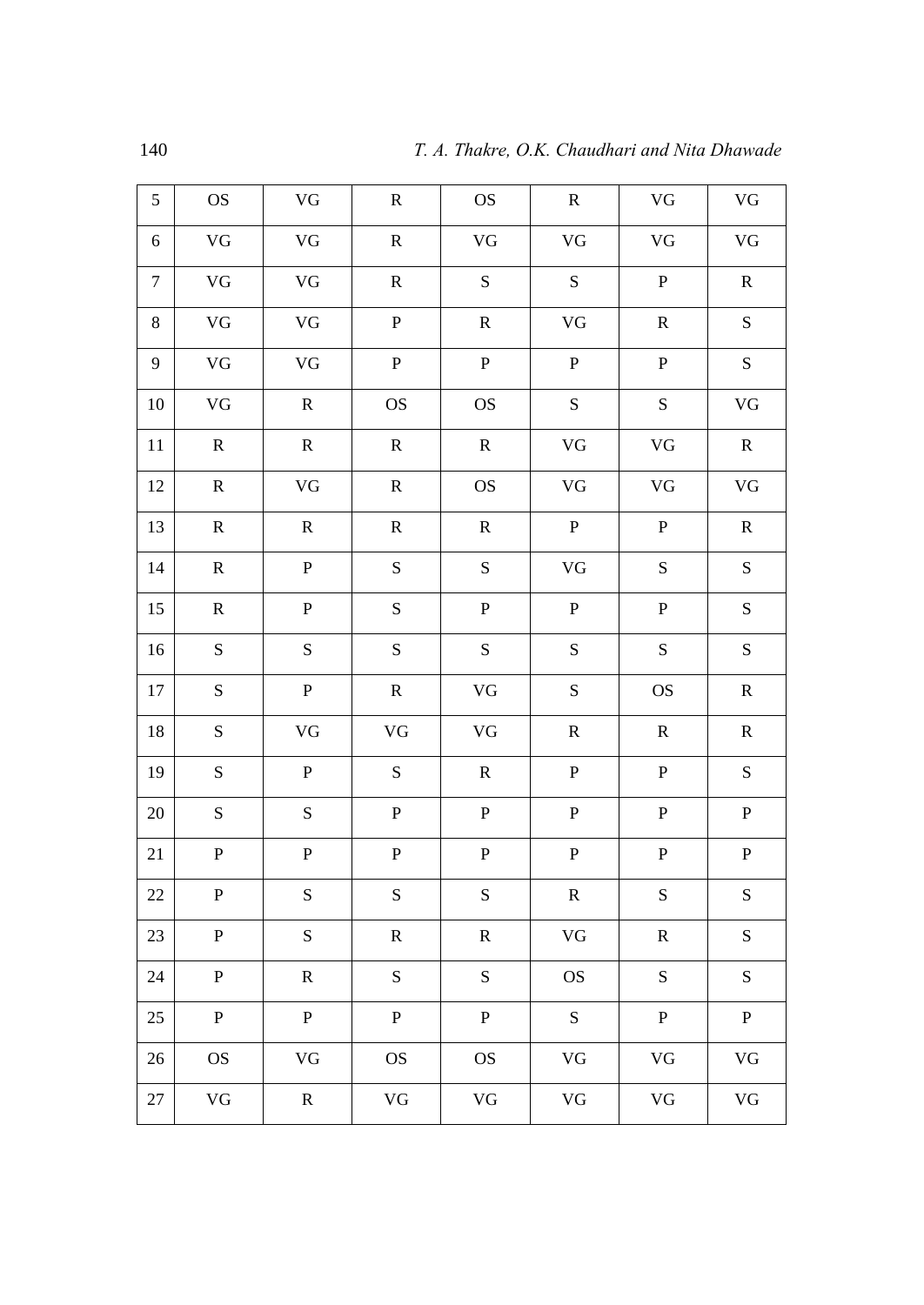| 5                | <b>OS</b>                  | $\rm{VG}$        | ${\bf R}$                  | <b>OS</b>                  | ${\bf R}$        | $\rm{VG}$        | $\rm{VG}$        |
|------------------|----------------------------|------------------|----------------------------|----------------------------|------------------|------------------|------------------|
| 6                | $\rm{VG}$                  | $\rm{VG}$        | ${\bf R}$                  | $\rm{VG}$                  | $\rm{VG}$        | $\rm{VG}$        | $\rm{VG}$        |
| $\boldsymbol{7}$ | $\rm{VG}$                  | $\rm{VG}$        | ${\bf R}$                  | ${\bf S}$                  | ${\bf S}$        | ${\bf P}$        | ${\bf R}$        |
| $8\,$            | ${\rm V}{\rm G}$           | ${\rm V}{\rm G}$ | ${\bf P}$                  | ${\bf R}$                  | ${\rm V}{\rm G}$ | ${\bf R}$        | ${\bf S}$        |
| 9                | ${\rm V}{\rm G}$           | $\rm{VG}$        | $\, {\bf P}$               | ${\bf P}$                  | $\, {\bf P}$     | ${\bf P}$        | ${\bf S}$        |
| $10\,$           | $\rm{VG}$                  | ${\bf R}$        | $\mathop{\rm OS}\nolimits$ | $\mathop{\rm OS}\nolimits$ | ${\bf S}$        | ${\bf S}$        | $\rm{VG}$        |
| 11               | $\mathbf R$                | ${\bf R}$        | ${\bf R}$                  | ${\bf R}$                  | ${\rm V}{\rm G}$ | $\rm{VG}$        | ${\bf R}$        |
| 12               | ${\bf R}$                  | VG               | ${\bf R}$                  | <b>OS</b>                  | $\rm{VG}$        | $\rm{VG}$        | $\rm{VG}$        |
| 13               | ${\bf R}$                  | ${\bf R}$        | ${\bf R}$                  | ${\bf R}$                  | ${\bf P}$        | ${\bf P}$        | ${\bf R}$        |
| 14               | ${\bf R}$                  | ${\bf P}$        | ${\bf S}$                  | ${\bf S}$                  | ${\rm V}{\rm G}$ | ${\bf S}$        | ${\bf S}$        |
| 15               | ${\bf R}$                  | ${\bf P}$        | ${\bf S}$                  | ${\bf P}$                  | ${\bf P}$        | ${\bf P}$        | ${\bf S}$        |
| 16               | ${\bf S}$                  | ${\bf S}$        | ${\bf S}$                  | ${\bf S}$                  | ${\bf S}$        | ${\bf S}$        | ${\bf S}$        |
| 17               | ${\bf S}$                  | ${\bf P}$        | ${\bf R}$                  | $\rm{VG}$                  | ${\bf S}$        | <b>OS</b>        | ${\bf R}$        |
| 18               | ${\bf S}$                  | $\rm{VG}$        | ${\rm V}{\rm G}$           | ${\rm V}{\rm G}$           | ${\bf R}$        | ${\bf R}$        | ${\bf R}$        |
| 19               | ${\bf S}$                  | ${\bf P}$        | ${\bf S}$                  | ${\bf R}$                  | ${\bf P}$        | ${\bf P}$        | ${\bf S}$        |
| $20\,$           | ${\bf S}$                  | ${\bf S}$        | ${\bf P}$                  | ${\bf P}$                  | $\, {\bf P}$     | ${\bf P}$        | $\, {\bf P}$     |
| 21               | ${\bf P}$                  | ${\bf P}$        | ${\bf P}$                  | ${\bf P}$                  | ${\bf P}$        | ${\bf P}$        | $\, {\bf P}$     |
| $22\,$           | ${\bf P}$                  | ${\bf S}$        | ${\bf S}$                  | ${\bf S}$                  | $\mathbf R$      | ${\bf S}$        | ${\bf S}$        |
| 23               | ${\bf P}$                  | ${\bf S}$        | ${\bf R}$                  | ${\bf R}$                  | $\rm{VG}$        | ${\bf R}$        | ${\bf S}$        |
| 24               | ${\bf P}$                  | ${\bf R}$        | ${\bf S}$                  | ${\bf S}$                  | <b>OS</b>        | ${\bf S}$        | ${\bf S}$        |
| 25               | ${\bf P}$                  | ${\bf P}$        | ${\bf P}$                  | ${\bf P}$                  | ${\bf S}$        | ${\bf P}$        | $\, {\bf P}$     |
| 26               | $\mathop{\rm OS}\nolimits$ | $\rm{VG}$        | $\rm OS$                   | $\rm OS$                   | ${\rm V}{\rm G}$ | $\rm{VG}$        | ${\rm V}{\rm G}$ |
| 27               | ${\rm V}{\rm G}$           | ${\bf R}$        | $\rm{VG}$                  | ${\rm V}{\rm G}$           | ${\rm VG}$       | ${\rm V}{\rm G}$ | ${\rm V}{\rm G}$ |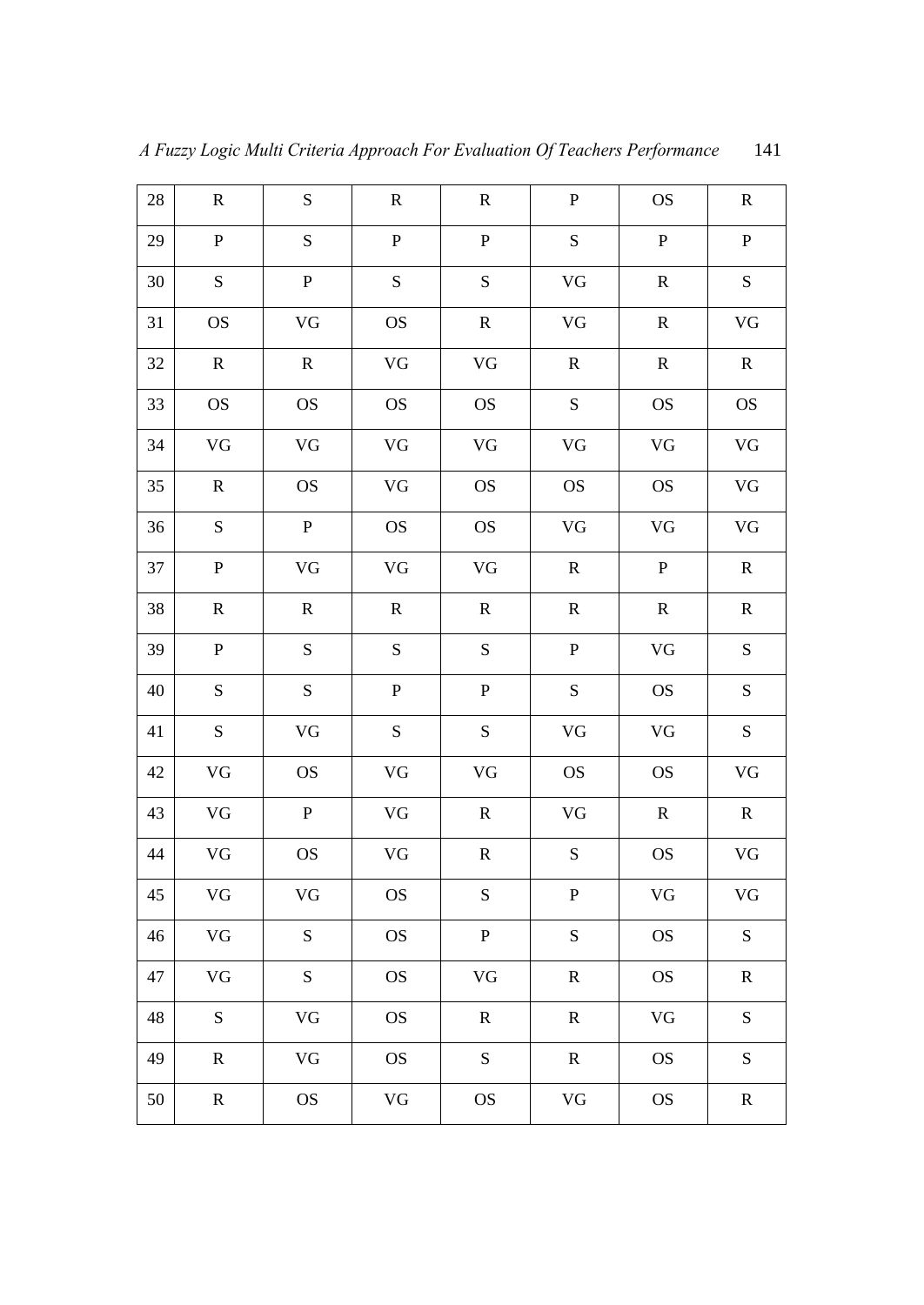|        |             |             |           |             | A Fuzzy Logic Multi Criteria Approach For Evaluation Of Teachers Performance |              | 141         |
|--------|-------------|-------------|-----------|-------------|------------------------------------------------------------------------------|--------------|-------------|
| $28\,$ | ${\bf R}$   | ${\bf S}$   | ${\bf R}$ | ${\bf R}$   | ${\bf P}$                                                                    | <b>OS</b>    | $\mathbf R$ |
| 29     | ${\bf P}$   | ${\bf S}$   | ${\bf P}$ | ${\bf P}$   | ${\bf S}$                                                                    | $\, {\bf P}$ | ${\bf P}$   |
| 30     | $\mathbf S$ | ${\bf P}$   | ${\bf S}$ | S           | $\rm{VG}$                                                                    | ${\bf R}$    | ${\bf S}$   |
| 31     | <b>OS</b>   | VG          | <b>OS</b> | $\mathbf R$ | VG                                                                           | ${\bf R}$    | VG          |
| 32     | ${\bf R}$   | ${\bf R}$   | $\rm{VG}$ | $\rm{VG}$   | ${\bf R}$                                                                    | ${\bf R}$    | ${\bf R}$   |
| 33     | <b>OS</b>   | <b>OS</b>   | <b>OS</b> | <b>OS</b>   | ${\bf S}$                                                                    | <b>OS</b>    | <b>OS</b>   |
| 34     | <b>VG</b>   | $\rm{VG}$   | $\rm{VG}$ | $\rm{VG}$   | $\rm{VG}$                                                                    | $\rm{VG}$    | $\rm{VG}$   |
| 35     | $\mathbf R$ | <b>OS</b>   | $\rm{VG}$ | <b>OS</b>   | <b>OS</b>                                                                    | <b>OS</b>    | $\rm{VG}$   |
| 36     | ${\bf S}$   | ${\bf P}$   | <b>OS</b> | <b>OS</b>   | VG                                                                           | $\rm{VG}$    | $\rm{VG}$   |
| 37     | ${\bf P}$   | $\rm{VG}$   | $\rm{VG}$ | $\rm{VG}$   | ${\bf R}$                                                                    | $\mathbf{P}$ | ${\bf R}$   |
| 38     | ${\bf R}$   | ${\bf R}$   | ${\bf R}$ | ${\bf R}$   | ${\bf R}$                                                                    | ${\bf R}$    | ${\bf R}$   |
| 39     | ${\bf P}$   | $\mathbf S$ | ${\bf S}$ | S           | ${\bf P}$                                                                    | $\rm{VG}$    | S           |
| 40     | S           | ${\bf S}$   | ${\bf P}$ | ${\bf P}$   | S                                                                            | $\rm OS$     | S           |
| 41     | ${\bf S}$   | $\rm{VG}$   | ${\bf S}$ | S           | $\rm{VG}$                                                                    | $\rm{VG}$    | S           |
| 42     | VG          | <b>OS</b>   | $\rm{VG}$ | $\rm{VG}$   | $\rm OS$                                                                     | $\rm OS$     | <b>VG</b>   |

43 | VG | P | VG | R | VG | R | R

44 | VG | OS | VG | R | S | OS | VG

45 | VG | VG | OS | S | P | VG | VG

46 | VG | S | OS | P | S | OS | S

47 | VG | S | OS | VG | R | OS | R

48 S | VG | OS | R | R | VG | S

49 R VG OS S R R OS S

50 R OS VG OS VG OS R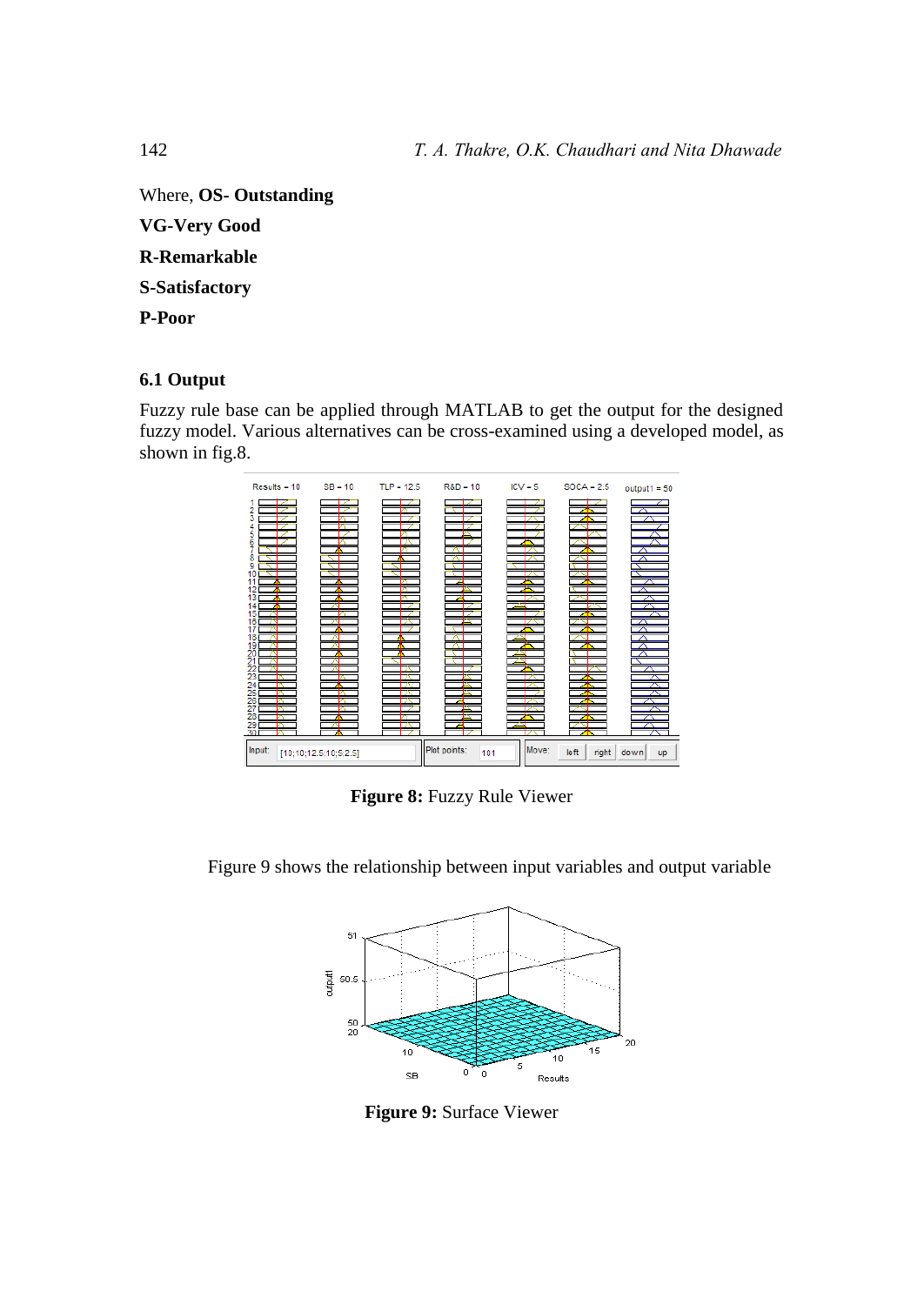Where, **OS- Outstanding VG-Very Good** 

**R-Remarkable S-Satisfactory** 

**P-Poor** 

# **6.1 Output**

Fuzzy rule base can be applied through MATLAB to get the output for the designed fuzzy model. Various alternatives can be cross-examined using a developed model, as shown in fig.8.



**Figure 8:** Fuzzy Rule Viewer

Figure 9 shows the relationship between input variables and output variable



**Figure 9:** Surface Viewer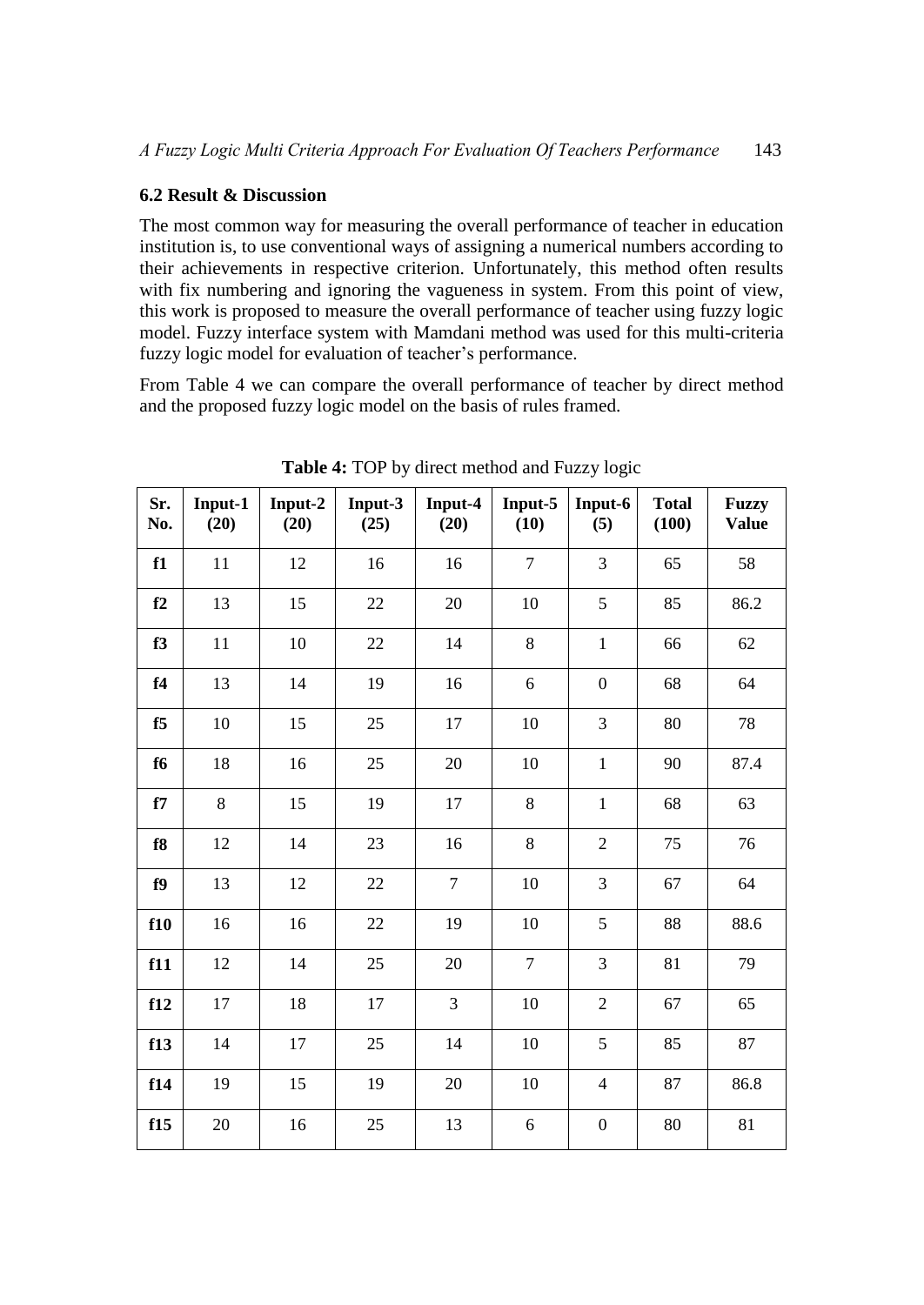# **6.2 Result & Discussion**

The most common way for measuring the overall performance of teacher in education institution is, to use conventional ways of assigning a numerical numbers according to their achievements in respective criterion. Unfortunately, this method often results with fix numbering and ignoring the vagueness in system. From this point of view, this work is proposed to measure the overall performance of teacher using fuzzy logic model. Fuzzy interface system with Mamdani method was used for this multi-criteria fuzzy logic model for evaluation of teacher's performance.

From Table 4 we can compare the overall performance of teacher by direct method and the proposed fuzzy logic model on the basis of rules framed.

| Sr.<br>No. | Input-1<br>(20) | Input-2<br>(20) | Input-3<br>(25) | Input-4<br>(20) | Input-5<br>(10) | Input-6<br>(5)   | <b>Total</b><br>(100) | <b>Fuzzy</b><br><b>Value</b> |
|------------|-----------------|-----------------|-----------------|-----------------|-----------------|------------------|-----------------------|------------------------------|
| f1         | 11              | 12              | 16              | 16              | $\overline{7}$  | 3                | 65                    | 58                           |
| f2         | 13              | 15              | 22              | 20              | 10              | 5                | 85                    | 86.2                         |
| f3         | 11              | 10              | 22              | 14              | 8               | $\,1$            | 66                    | 62                           |
| f4         | 13              | 14              | 19              | 16              | 6               | $\boldsymbol{0}$ | 68                    | 64                           |
| f5         | 10              | 15              | 25              | 17              | 10              | 3                | 80                    | 78                           |
| f6         | 18              | 16              | 25              | 20              | 10              | $\mathbf{1}$     | 90                    | 87.4                         |
| f7         | 8               | 15              | 19              | 17              | 8               | $\mathbf{1}$     | 68                    | 63                           |
| f8         | 12              | 14              | 23              | 16              | 8               | $\overline{2}$   | 75                    | 76                           |
| f9         | 13              | 12              | 22              | $\overline{7}$  | 10              | 3                | 67                    | 64                           |
| f10        | 16              | 16              | 22              | 19              | 10              | 5                | 88                    | 88.6                         |
| f11        | 12              | 14              | 25              | 20              | $\overline{7}$  | 3                | 81                    | 79                           |
| f12        | 17              | 18              | 17              | 3               | 10              | $\overline{2}$   | 67                    | 65                           |
| f13        | 14              | 17              | 25              | 14              | 10              | 5                | 85                    | 87                           |
| f14        | 19              | 15              | 19              | 20              | 10              | $\overline{4}$   | 87                    | 86.8                         |
| f15        | 20              | 16              | 25              | 13              | 6               | $\boldsymbol{0}$ | 80                    | 81                           |

**Table 4:** TOP by direct method and Fuzzy logic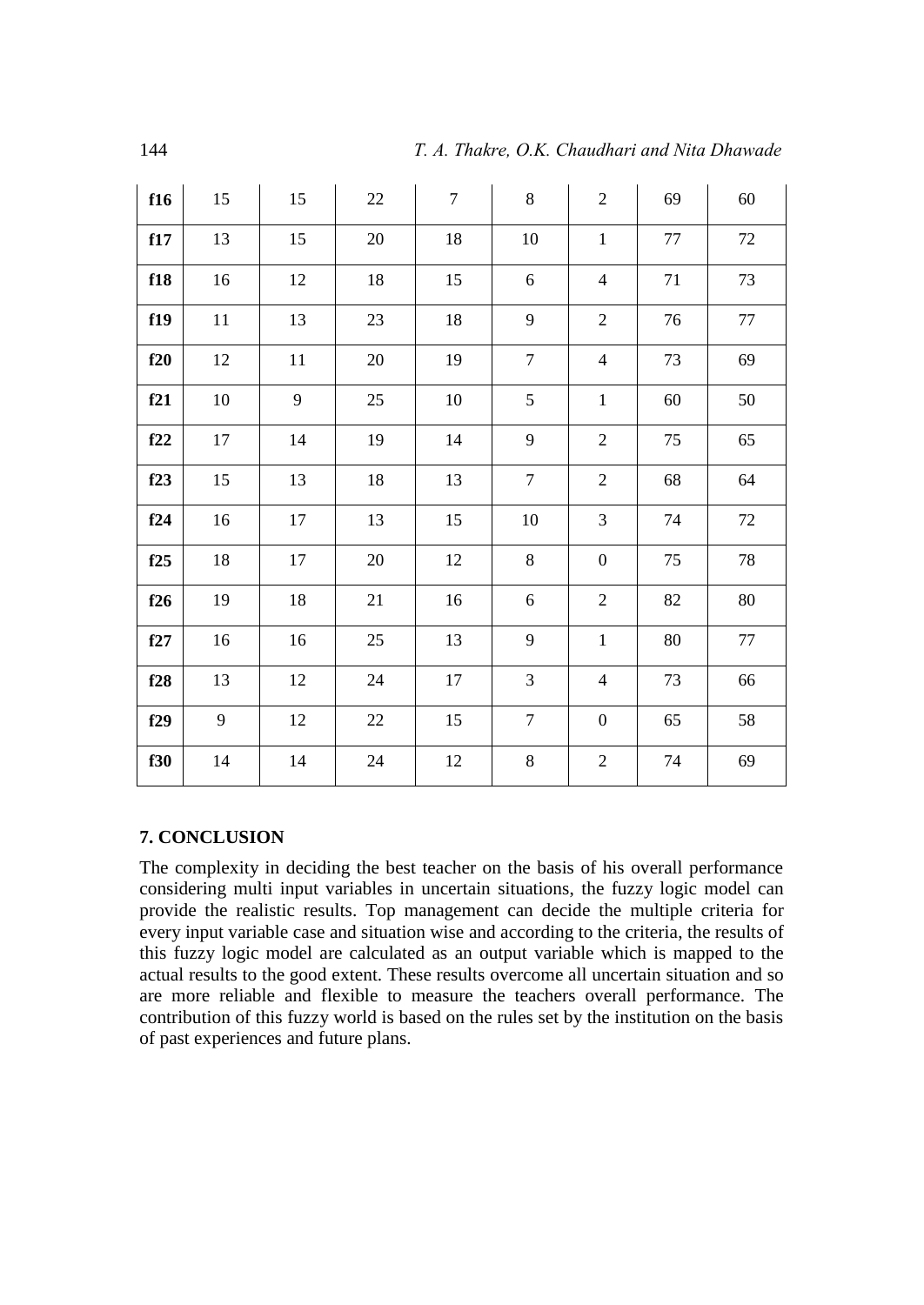| f16 | 15     | 15 | $22\,$ | $\overline{7}$ | 8                | $\overline{2}$   | 69     | $60\,$ |
|-----|--------|----|--------|----------------|------------------|------------------|--------|--------|
| f17 | 13     | 15 | $20\,$ | 18             | $10\,$           | $\mathbf 1$      | $77\,$ | 72     |
| f18 | 16     | 12 | $18\,$ | 15             | 6                | $\overline{4}$   | $71\,$ | 73     |
| f19 | $11\,$ | 13 | 23     | 18             | 9                | $\overline{2}$   | $76\,$ | $77\,$ |
| f20 | 12     | 11 | 20     | 19             | $\overline{7}$   | $\overline{4}$   | 73     | 69     |
| f21 | $10\,$ | 9  | 25     | $10\,$         | 5                | $1\,$            | $60\,$ | 50     |
| f22 | 17     | 14 | 19     | 14             | 9                | $\sqrt{2}$       | $75\,$ | 65     |
| f23 | 15     | 13 | $18\,$ | 13             | $\overline{7}$   | $\sqrt{2}$       | 68     | 64     |
| f24 | 16     | 17 | 13     | 15             | $10\,$           | $\mathfrak{Z}$   | 74     | 72     |
| f25 | 18     | 17 | $20\,$ | 12             | 8                | $\boldsymbol{0}$ | $75\,$ | 78     |
| f26 | 19     | 18 | 21     | 16             | 6                | $\sqrt{2}$       | $82\,$ | $80\,$ |
| f27 | 16     | 16 | 25     | 13             | 9                | $\mathbf{1}$     | $80\,$ | $77\,$ |
| f28 | 13     | 12 | 24     | 17             | 3                | $\overline{4}$   | 73     | 66     |
| f29 | 9      | 12 | $22\,$ | 15             | $\boldsymbol{7}$ | $\boldsymbol{0}$ | 65     | 58     |
| f30 | 14     | 14 | $24\,$ | 12             | 8                | $\sqrt{2}$       | 74     | 69     |

# **7. CONCLUSION**

The complexity in deciding the best teacher on the basis of his overall performance considering multi input variables in uncertain situations, the fuzzy logic model can provide the realistic results. Top management can decide the multiple criteria for every input variable case and situation wise and according to the criteria, the results of this fuzzy logic model are calculated as an output variable which is mapped to the actual results to the good extent. These results overcome all uncertain situation and so are more reliable and flexible to measure the teachers overall performance. The contribution of this fuzzy world is based on the rules set by the institution on the basis of past experiences and future plans.